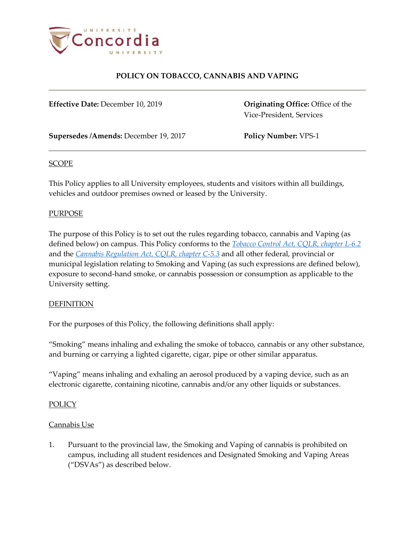

# **POLICY ON TOBACCO, CANNABIS AND VAPING**

**Effective Date:** December 10, 2019 **Originating Office:** Office of the

Vice-President, Services

**Supersedes /Amends:** December 19, 2017 **Policy Number:** VPS-1

#### **SCOPE**

This Policy applies to all University employees, students and visitors within all buildings, vehicles and outdoor premises owned or leased by the University.

## PURPOSE

The purpose of this Policy is to set out the rules regarding tobacco, cannabis and Vaping (as defined below) on campus. This Policy conforms to the *[Tobacco Control Act, CQLR, chapter L-6.2](http://legisquebec.gouv.qc.ca/en/showdoc/cs/L-6.2)* and the *[Cannabis Regulation Act, CQLR, chapter C-5.3](http://legisquebec.gouv.qc.ca/en/showdoc/cs/C-5.3)* and all other federal, provincial or municipal legislation relating to Smoking and Vaping (as such expressions are defined below), exposure to second-hand smoke, or cannabis possession or consumption as applicable to the University setting.

#### **DEFINITION**

For the purposes of this Policy, the following definitions shall apply:

"Smoking" means inhaling and exhaling the smoke of tobacco, cannabis or any other substance, and burning or carrying a lighted cigarette, cigar, pipe or other similar apparatus.

"Vaping" means inhaling and exhaling an aerosol produced by a vaping device, such as an electronic cigarette, containing nicotine, cannabis and/or any other liquids or substances.

## **POLICY**

#### Cannabis Use

1. Pursuant to the provincial law, the Smoking and Vaping of cannabis is prohibited on campus, including all student residences and Designated Smoking and Vaping Areas ("DSVAs") as described below.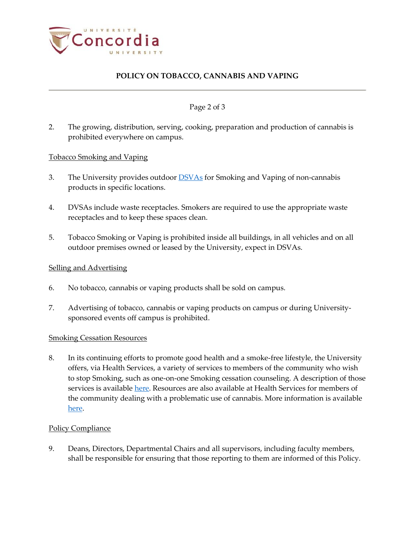

# **POLICY ON TOBACCO, CANNABIS AND VAPING**

#### Page 2 of 3

2. The growing, distribution, serving, cooking, preparation and production of cannabis is prohibited everywhere on campus.

## Tobacco Smoking and Vaping

- 3. The University provides outdoor **DSVAs** for Smoking and Vaping of non-cannabis products in specific locations.
- 4. DVSAs include waste receptacles. Smokers are required to use the appropriate waste receptacles and to keep these spaces clean.
- 5. Tobacco Smoking or Vaping is prohibited inside all buildings, in all vehicles and on all outdoor premises owned or leased by the University, expect in DSVAs.

#### Selling and Advertising

- 6. No tobacco, cannabis or vaping products shall be sold on campus.
- 7. Advertising of tobacco, cannabis or vaping products on campus or during Universitysponsored events off campus is prohibited.

## **Smoking Cessation Resources**

8. In its continuing efforts to promote good health and a smoke-free lifestyle, the University offers, via Health Services, a variety of services to members of the community who wish to stop Smoking, such as one-on-one Smoking cessation counseling. A description of those services is available [here.](https://www.concordia.ca/students/health/topics/smoking-cessation.html) Resources are also available at Health Services for members of the community dealing with a problematic use of cannabis. More information is available [here.](https://www.concordia.ca/students/health/patient-resources/cannabis.html)

#### Policy Compliance

9. Deans, Directors, Departmental Chairs and all supervisors, including faculty members, shall be responsible for ensuring that those reporting to them are informed of this Policy.